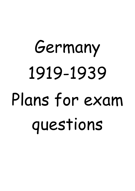# Germany 1919-1939 Plans for exam questions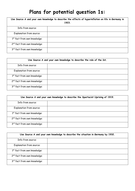#### **Plans for potential question 1s:**

| Use Source A and your own knowledge to describe the effects of hyperinflation on life in Germany in<br>1923. |  |
|--------------------------------------------------------------------------------------------------------------|--|
| Info from source:                                                                                            |  |
| <b>Explanation from source:</b>                                                                              |  |
| 1st fact from own knowledge:                                                                                 |  |
| 2 <sup>nd</sup> fact from own knowledge:                                                                     |  |
| 3 <sup>rd</sup> fact from own knowledge:                                                                     |  |

| Use Source A and your own knowledge to describe the role of the SA. |  |
|---------------------------------------------------------------------|--|
| Info from source:                                                   |  |
| Explanation from source:                                            |  |
| $1st$ fact from own knowledge:                                      |  |
| 2 <sup>nd</sup> fact from own knowledge:                            |  |
| 3rd fact from own knowledge:                                        |  |

| Use Source A and your own knowledge to describe the Spartacist Uprising of 1919. |  |
|----------------------------------------------------------------------------------|--|
| Info from source:                                                                |  |
| <b>Explanation from source:</b>                                                  |  |
| $1st$ fact from own knowledge:                                                   |  |
| 2 <sup>nd</sup> fact from own knowledge:                                         |  |
| 3rd fact from own knowledge:                                                     |  |

| Use Source A and your own knowledge to describe the situation in Germany by 1932. |  |
|-----------------------------------------------------------------------------------|--|
| Info from source:                                                                 |  |
| Explanation from source:                                                          |  |
| 1st fact from own knowledge:                                                      |  |
| 2 <sup>nd</sup> fact from own knowledge:                                          |  |
| 3rd fact from own knowledge:                                                      |  |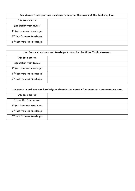| Use Source A and your own knowledge to describe the events of the Reichstag Fire. |  |
|-----------------------------------------------------------------------------------|--|
| Info from source:                                                                 |  |
| <b>Explanation from source:</b>                                                   |  |
| 1 <sup>st</sup> fact from own knowledge:                                          |  |
| 2 <sup>nd</sup> fact from own knowledge:                                          |  |
| 3rd fact from own knowledge:                                                      |  |

| Use Source A and your own knowledge to describe the Hitler Youth Movement. |  |
|----------------------------------------------------------------------------|--|
| Info from source:                                                          |  |
| <b>Explanation from source:</b>                                            |  |
| 1st fact from own knowledge:                                               |  |
| 2 <sup>nd</sup> fact from own knowledge:                                   |  |
| 3rd fact from own knowledge:                                               |  |

| Use Source A and your own knowledge to describe the arrival of prisoners at a concentration camp. |  |
|---------------------------------------------------------------------------------------------------|--|
| Info from source:                                                                                 |  |
| <b>Explanation from source:</b>                                                                   |  |
| 1st fact from own knowledge:                                                                      |  |
| 2 <sup>nd</sup> fact from own knowledge:                                                          |  |
| 3rd fact from own knowledge:                                                                      |  |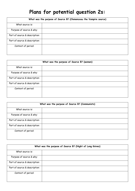### **Plans for potential question 2s:**

| What was the purpose of Source B? (Clemenceau the Vampire source) |  |
|-------------------------------------------------------------------|--|
| What source is:                                                   |  |
| Purpose of source & why:                                          |  |
| Part of source & description:                                     |  |
| Part of source & description:                                     |  |
| Context of period:                                                |  |

|                               | What was the purpose of Source B? (women) |
|-------------------------------|-------------------------------------------|
| What source is:               |                                           |
| Purpose of source & why:      |                                           |
| Part of source & description: |                                           |
| Part of source & description: |                                           |
| Context of period:            |                                           |

| What was the purpose of Source B? (Communists) |  |
|------------------------------------------------|--|
| What source is:                                |  |
| Purpose of source & why:                       |  |
| Part of source & description:                  |  |
| Part of source & description:                  |  |
| Context of period:                             |  |

| What was the purpose of Source B? (Night of Long Knives) |  |
|----------------------------------------------------------|--|
| What source is:                                          |  |
| Purpose of source & why:                                 |  |
| Part of source & description:                            |  |
| Part of source & description:                            |  |
| Context of period:                                       |  |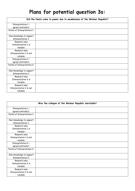### **Plans for potential question 3s:**

|                             | Did the Nazis come to power due to weaknesses of the Weimar Republic? |
|-----------------------------|-----------------------------------------------------------------------|
| Interpretation 1 -          |                                                                       |
| agree/contradict:           |                                                                       |
| Points of Interpretation 1: |                                                                       |
| Own knowledge to support    |                                                                       |
| Interpretation 1:           |                                                                       |
| Reason/s why                |                                                                       |
| Interpretation 1 is         |                                                                       |
| reliable:                   |                                                                       |
| Reason/s why                |                                                                       |
| Interpretation 1 is not     |                                                                       |
| reliable:                   |                                                                       |
| Interpretation 2 -          |                                                                       |
| agree/contradict:           |                                                                       |
| Points of Interpretation 2: |                                                                       |
| Own knowledge to support    |                                                                       |
| <b>Interpretation 2:</b>    |                                                                       |
| Reason/s why                |                                                                       |
| Interpretation 2 is         |                                                                       |
| reliable:                   |                                                                       |
| Reason/s why                |                                                                       |
| Interpretation 2 is not     |                                                                       |
| reliable:                   |                                                                       |

|                             | Was the collapse of the Weimar Republic inevitable? |
|-----------------------------|-----------------------------------------------------|
| Interpretation 1 -          |                                                     |
| agree/contradict:           |                                                     |
| Points of Interpretation 1: |                                                     |
| Own knowledge to support    |                                                     |
| Interpretation 1:           |                                                     |
| Reason/s why                |                                                     |
| Interpretation 1 is         |                                                     |
| reliable:                   |                                                     |
| Reason/s why                |                                                     |
| Interpretation 1 is not     |                                                     |
| reliable:                   |                                                     |
| Interpretation 2 -          |                                                     |
| agree/contradict:           |                                                     |
| Points of Interpretation 2: |                                                     |
| Own knowledge to support    |                                                     |
| Interpretation 2:           |                                                     |
| Reason/s why                |                                                     |
| Interpretation 2 is         |                                                     |
| reliable:                   |                                                     |
| Reason/s why                |                                                     |
| Interpretation 2 is not     |                                                     |
| reliable:                   |                                                     |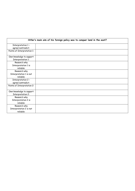| Hitler's main aim of his foreign policy was to conquer land in the east? |  |
|--------------------------------------------------------------------------|--|
| Interpretation 1 -                                                       |  |
| agree/contradict:                                                        |  |
| Points of Interpretation 1:                                              |  |
| Own knowledge to support                                                 |  |
| Interpretation 1:                                                        |  |
| Reason/s why                                                             |  |
| Interpretation 1 is                                                      |  |
| reliable:                                                                |  |
| Reason/s why                                                             |  |
| Interpretation 1 is not                                                  |  |
| reliable:                                                                |  |
| Interpretation 2 -                                                       |  |
| agree/contradict:                                                        |  |
| Points of Interpretation 2:                                              |  |
| Own knowledge to support                                                 |  |
| <b>Interpretation 2:</b>                                                 |  |
| Reason/s why                                                             |  |
| Interpretation 2 is                                                      |  |
| reliable:                                                                |  |
| Reason/s why                                                             |  |
| Interpretation 2 is not                                                  |  |
| reliable:                                                                |  |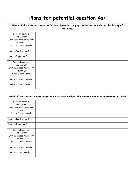## **Plans for potential question 4s:**

| Which of the sources is more useful to an historian studying the German reaction to the Treaty of<br>Versailles? |  |
|------------------------------------------------------------------------------------------------------------------|--|
| Source C quote &<br>explanation:                                                                                 |  |
| Own knowledge to support<br>Source C:                                                                            |  |
| Source C year, useful?                                                                                           |  |
| Source C author, useful?                                                                                         |  |
| Source C type, useful?                                                                                           |  |
| Source D quote &<br>explanation:                                                                                 |  |
| Own knowledge to support<br>Source D:                                                                            |  |
| Source D year, useful?                                                                                           |  |
| Source D author, useful?                                                                                         |  |
| Source D type, useful?                                                                                           |  |

|                                       | Which of the sources is more useful to an historian studying the economic condition of Germany in 1930? |
|---------------------------------------|---------------------------------------------------------------------------------------------------------|
| Source C quote &<br>explanation:      |                                                                                                         |
| Own knowledge to support<br>Source C: |                                                                                                         |
| Source C year, useful?                |                                                                                                         |
| Source C author, useful?              |                                                                                                         |
| Source C type, useful?                |                                                                                                         |
| Source D quote &<br>explanation:      |                                                                                                         |
| Own knowledge to support<br>Source D: |                                                                                                         |
| Source D year, useful?                |                                                                                                         |
| Source D author, useful?              |                                                                                                         |
| Source D type, useful?                |                                                                                                         |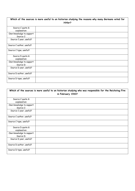| Which of the sources is more useful to an historian studying the reasons why many Germans voted for<br>Hitler? |  |
|----------------------------------------------------------------------------------------------------------------|--|
| Source C quote &<br>explanation:                                                                               |  |
| Own knowledge to support<br>Source C:                                                                          |  |
| Source C year, useful?                                                                                         |  |
| Source C author, useful?                                                                                       |  |
| Source C type, useful?                                                                                         |  |
| Source D quote &<br>explanation:                                                                               |  |
| Own knowledge to support<br>Source D:                                                                          |  |
| Source D year, useful?                                                                                         |  |
| Source D author, useful?                                                                                       |  |
| Source D type, useful?                                                                                         |  |

| Which of the sources is more useful to an historian studying who was responsible for the Reichstag Fire<br>in February 1933? |  |
|------------------------------------------------------------------------------------------------------------------------------|--|
| Source C quote &<br>explanation:                                                                                             |  |
| Own knowledge to support<br>Source C:                                                                                        |  |
| Source C year, useful?                                                                                                       |  |
| Source C author, useful?                                                                                                     |  |
| Source C type, useful?                                                                                                       |  |
| Source D quote &<br>explanation:                                                                                             |  |
| Own knowledge to support<br>Source D:                                                                                        |  |
| Source D year, useful?                                                                                                       |  |
| Source D author, useful?                                                                                                     |  |
| Source D type, useful?                                                                                                       |  |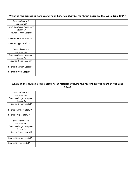|                                       | Which of the sources is more useful to an historian studying the threat posed by the SA in June 1934? |
|---------------------------------------|-------------------------------------------------------------------------------------------------------|
| Source C quote &<br>explanation:      |                                                                                                       |
| Own knowledge to support<br>Source C: |                                                                                                       |
| Source C year, useful?                |                                                                                                       |
| Source C author, useful?              |                                                                                                       |
| Source C type, useful?                |                                                                                                       |
| Source D quote &<br>explanation:      |                                                                                                       |
| Own knowledge to support<br>Source D: |                                                                                                       |
| Source D year, useful?                |                                                                                                       |
| Source D author, useful?              |                                                                                                       |
| Source D type, useful?                |                                                                                                       |

| Which of the sources is more useful to an historian studying the reasons for the Night of the Long<br>Knives? |  |
|---------------------------------------------------------------------------------------------------------------|--|
| Source C quote &<br>explanation:                                                                              |  |
| Own knowledge to support<br>Source C:                                                                         |  |
| Source C year, useful?                                                                                        |  |
| Source C author, useful?                                                                                      |  |
| Source C type, useful?                                                                                        |  |
| Source D quote &<br>explanation:                                                                              |  |
| Own knowledge to support<br>Source D:                                                                         |  |
| Source D year, useful?                                                                                        |  |
| Source D author, useful?                                                                                      |  |
| Source D type, useful?                                                                                        |  |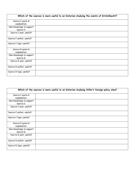| Which of the sources is more useful to an historian studying the events of Kristallnacht? |  |
|-------------------------------------------------------------------------------------------|--|
| Source C quote &                                                                          |  |
| explanation:                                                                              |  |
| Own knowledge to support                                                                  |  |
| Source C:                                                                                 |  |
| Source C year, useful?                                                                    |  |
| Source C author, useful?                                                                  |  |
| Source C type, useful?                                                                    |  |
| Source D quote &                                                                          |  |
| explanation:                                                                              |  |
| Own knowledge to support                                                                  |  |
| Source D:                                                                                 |  |
| Source D year, useful?                                                                    |  |
| Source D author, useful?                                                                  |  |
| Source D type, useful?                                                                    |  |

| Which of the sources is more useful to an historian studying Hitler's foreign policy aims? |  |
|--------------------------------------------------------------------------------------------|--|
| Source C quote &<br>explanation:                                                           |  |
| Own knowledge to support<br>Source C:                                                      |  |
| Source C year, useful?                                                                     |  |
| Source C author, useful?                                                                   |  |
| Source C type, useful?                                                                     |  |
| Source D quote &<br>explanation:                                                           |  |
| Own knowledge to support<br>Source D:                                                      |  |
| Source D year, useful?                                                                     |  |
| Source D author, useful?                                                                   |  |
| Source D type, useful?                                                                     |  |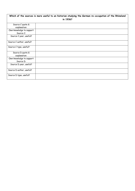| Which of the sources is more useful to an historian studying the German re-occupation of the Rhineland<br>in 1936? |  |
|--------------------------------------------------------------------------------------------------------------------|--|
| Source C quote &<br>explanation:                                                                                   |  |
| Own knowledge to support<br>Source C:                                                                              |  |
| Source C year, useful?                                                                                             |  |
| Source C author, useful?                                                                                           |  |
| Source C type, useful?                                                                                             |  |
| Source D quote &<br>explanation:                                                                                   |  |
| Own knowledge to support<br>Source D:                                                                              |  |
| Source D year, useful?                                                                                             |  |
| Source D author, useful?                                                                                           |  |
| Source D type, useful?                                                                                             |  |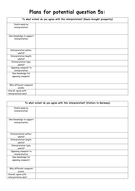### **Plans for potential question 5s:**

| To what extent do you agree with this interpretation? (Nazis brought prosperity) |  |
|----------------------------------------------------------------------------------|--|
| Points made by<br>interpretation:                                                |  |
| Own knowledge to support                                                         |  |
| interpretation:                                                                  |  |
| Interpretation author,<br>useful?                                                |  |
| Interpretation length,<br>useful?                                                |  |
| Interpretation type,<br>useful?                                                  |  |
| Opposing viewpoint to<br>interpretation:                                         |  |
| Own knowledge for<br>opposing viewpoint:                                         |  |
| Why different viewpoint<br>exists:                                               |  |
| Overall, agree with<br>interpretation why?                                       |  |

| To what extent do you agree with this interpretation? (Visitors to Germany) |  |
|-----------------------------------------------------------------------------|--|
| Points made by                                                              |  |
| interpretation:                                                             |  |
| Own knowledge to support<br>interpretation:                                 |  |
| Interpretation author,<br>useful?                                           |  |
| Interpretation length,<br>useful?                                           |  |
| Interpretation type,<br>useful?                                             |  |
| Opposing viewpoint to<br>interpretation:                                    |  |
| Own knowledge for<br>opposing viewpoint:                                    |  |
| Why different viewpoint<br>exists:                                          |  |
| Overall, agree with<br>interpretation why?                                  |  |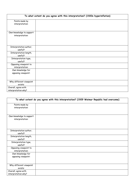| To what extent do you agree with this interpretation? (1920s hyperinflation) |  |
|------------------------------------------------------------------------------|--|
| Points made by                                                               |  |
| interpretation:                                                              |  |
| Own knowledge to support                                                     |  |
| interpretation:                                                              |  |
| Interpretation author,                                                       |  |
| useful?                                                                      |  |
| Interpretation length,<br>useful?                                            |  |
| Interpretation type,<br>useful?                                              |  |
| Opposing viewpoint to<br>interpretation:                                     |  |
| Own knowledge for<br>opposing viewpoint:                                     |  |
|                                                                              |  |
| Why different viewpoint                                                      |  |
| exists:                                                                      |  |
| Overall, agree with                                                          |  |
| interpretation why?                                                          |  |

|                                          | To what extent do you agree with this interpretation? (1929 Weimar Republic had overcome) |
|------------------------------------------|-------------------------------------------------------------------------------------------|
| Points made by                           |                                                                                           |
| interpretation:                          |                                                                                           |
| Own knowledge to support                 |                                                                                           |
| interpretation:                          |                                                                                           |
| Interpretation author,                   |                                                                                           |
| useful?                                  |                                                                                           |
| Interpretation length,                   |                                                                                           |
| useful?                                  |                                                                                           |
| Interpretation type,<br>useful?          |                                                                                           |
| Opposing viewpoint to                    |                                                                                           |
| interpretation:                          |                                                                                           |
| Own knowledge for<br>opposing viewpoint: |                                                                                           |
|                                          |                                                                                           |
| Why different viewpoint                  |                                                                                           |
| exists:                                  |                                                                                           |
| Overall, agree with                      |                                                                                           |
| interpretation why?                      |                                                                                           |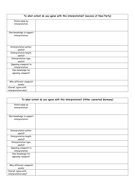| To what extent do you agree with this interpretation? (success of Nazi Party) |  |  |
|-------------------------------------------------------------------------------|--|--|
| Points made by<br>interpretation:                                             |  |  |
| Own knowledge to support<br>interpretation:                                   |  |  |
| Interpretation author,<br>useful?                                             |  |  |
| Interpretation length,<br>useful?                                             |  |  |
| Interpretation type,<br>useful?                                               |  |  |
| Opposing viewpoint to<br>interpretation:                                      |  |  |
| Own knowledge for<br>opposing viewpoint:                                      |  |  |
| Why different viewpoint<br>exists:                                            |  |  |
| Overall, agree with<br>interpretation why?                                    |  |  |

| To what extent do you agree with this interpretation? (Hitler converted Germany) |  |
|----------------------------------------------------------------------------------|--|
| Points made by                                                                   |  |
| interpretation:                                                                  |  |
| Own knowledge to support                                                         |  |
| interpretation:                                                                  |  |
| Interpretation author,                                                           |  |
| useful?                                                                          |  |
| Interpretation length,                                                           |  |
| useful?                                                                          |  |
| Interpretation type,<br>useful?                                                  |  |
| Opposing viewpoint to                                                            |  |
| interpretation:<br>Own knowledge for                                             |  |
| opposing viewpoint:                                                              |  |
|                                                                                  |  |
| Why different viewpoint                                                          |  |
| exists:                                                                          |  |
| Overall, agree with                                                              |  |
| interpretation why?                                                              |  |